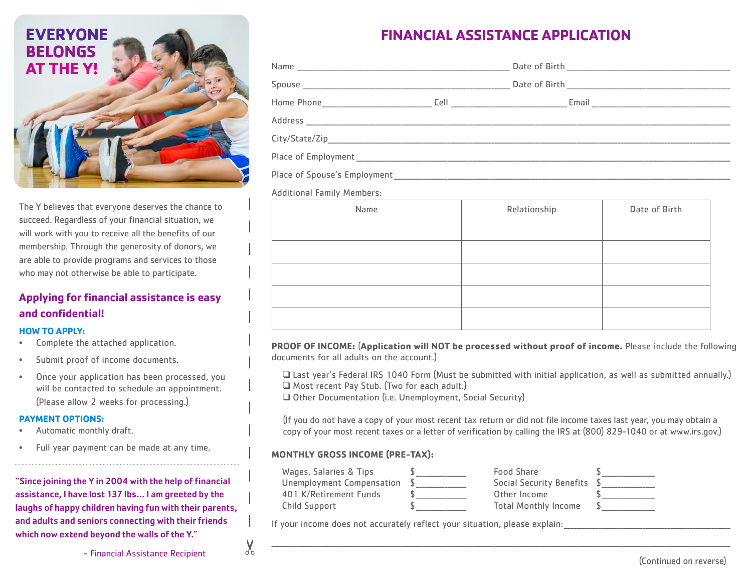

The Y believes that everyone deserves the chance to succeed. Regardless of your financial situation, we will work with you to receive all the benefits of our membership. Through the generosity of donors, we are able to provide programs and services to those who may not otherwise be able to participate.

## **Applying for financial assistance is easy and confidential!**

#### **HOW TO APPLY:**

- Complete the attached application.
- Submit proof of income documents.
- Once your application has been processed, you will be contacted to schedule an appointment. (Please allow 2 weeks for processing.)

#### **PAYMENT OPTIONS:**

- Automatic monthly draft.
- Full year payment can be made at any time.

"Since joining the Y in 2004 with the help of financial assistance, I have lost 137 lbs... I am greeted by the laughs of happy children having fun with their parents, and adults and seniors connecting with their friends which now extend beyond the walls of the Y."

# **FINANCIAL ASSISTANCE APPLICATION**

| Home Phone 2008 2010 12:00:00 Phone 2010 12:00:00 Phone 2010 12:00:00 Phone 2010 12:00:00 Phone 2010 12:00:00 |  |  |  |  |  |
|---------------------------------------------------------------------------------------------------------------|--|--|--|--|--|
|                                                                                                               |  |  |  |  |  |
|                                                                                                               |  |  |  |  |  |
|                                                                                                               |  |  |  |  |  |
|                                                                                                               |  |  |  |  |  |
|                                                                                                               |  |  |  |  |  |

#### Additional Family Members:

| Name | Relationship | Date of Birth |
|------|--------------|---------------|
|      |              |               |
|      |              |               |
|      |              |               |
|      |              |               |
|      |              |               |
|      |              |               |

**PROOF OF INCOME:** (**Application will NOT be processed without proof of income.** Please include the following documents for all adults on the account.)

q Last year's Federal IRS 1040 Form (Must be submitted with initial application, as well as submitted annually.) □ Most recent Pay Stub. (Two for each adult.)

Q Other Documentation (i.e. Unemployment, Social Security)

(If you do not have a copy of your most recent tax return or did not file income taxes last year, you may obtain a copy of your most recent taxes or a letter of verification by calling the IRS at (800) 829-1040 or at www.irs.gov.)

#### **MONTHLY GROSS INCOME (PRE-TAX):**

| Wages, Salaries & Tips    | Food Share                      |  |
|---------------------------|---------------------------------|--|
| Unemployment Compensation | <b>Social Security Benefits</b> |  |
| 401 K/Retirement Funds    | Other Income                    |  |
| Child Support             | <b>Total Monthly Income</b>     |  |

If your income does not accurately reflect your situation, please explain:

- Financial Assistance Recipient  $\sigma^{\rm b}$  (Continued on reverse)

 $\chi$